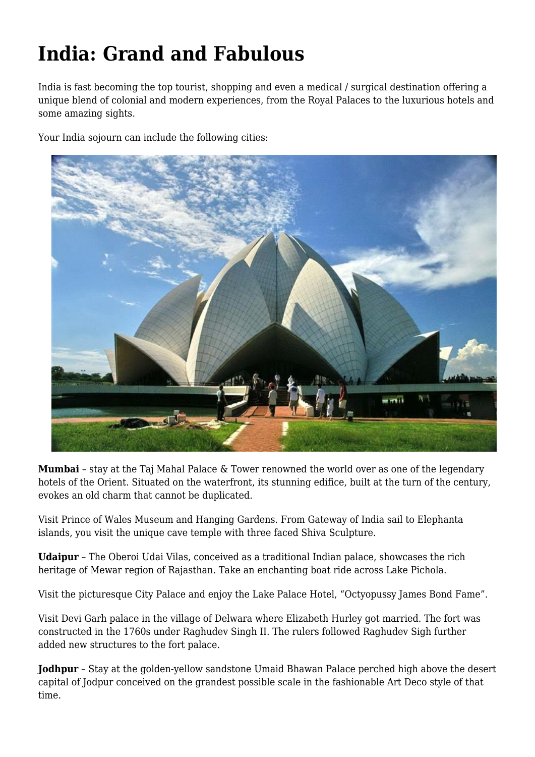## **India: Grand and Fabulous**

India is fast becoming the top tourist, shopping and even a medical / surgical destination offering a unique blend of colonial and modern experiences, from the Royal Palaces to the luxurious hotels and some amazing sights.

Your India sojourn can include the following cities:



**Mumbai** – stay at the Taj Mahal Palace & Tower renowned the world over as one of the legendary hotels of the Orient. Situated on the waterfront, its stunning edifice, built at the turn of the century, evokes an old charm that cannot be duplicated.

Visit Prince of Wales Museum and Hanging Gardens. From Gateway of India sail to Elephanta islands, you visit the unique cave temple with three faced Shiva Sculpture.

**Udaipur** – The Oberoi Udai Vilas, conceived as a traditional Indian palace, showcases the rich heritage of Mewar region of Rajasthan. Take an enchanting boat ride across Lake Pichola.

Visit the picturesque City Palace and enjoy the Lake Palace Hotel, "Octyopussy James Bond Fame".

Visit Devi Garh palace in the village of Delwara where Elizabeth Hurley got married. The fort was constructed in the 1760s under Raghudev Singh II. The rulers followed Raghudev Sigh further added new structures to the fort palace.

**Jodhpur** – Stay at the golden-yellow sandstone Umaid Bhawan Palace perched high above the desert capital of Jodpur conceived on the grandest possible scale in the fashionable Art Deco style of that time.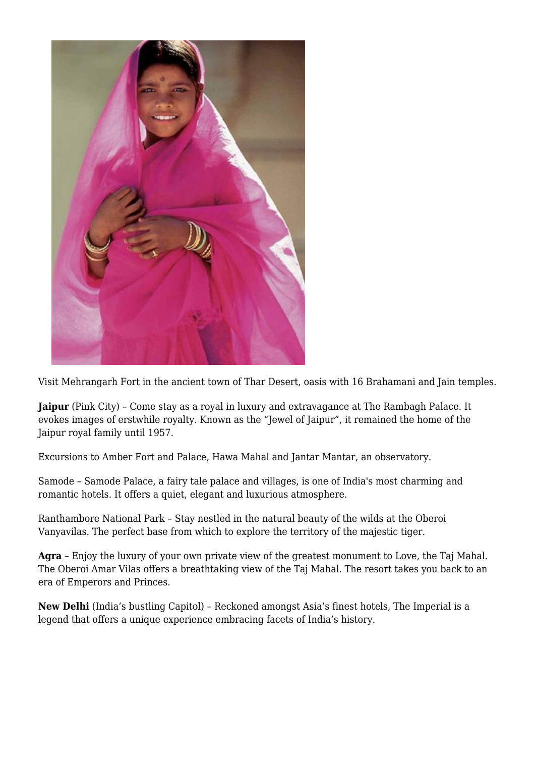

Visit Mehrangarh Fort in the ancient town of Thar Desert, oasis with 16 Brahamani and Jain temples.

**Jaipur** (Pink City) – Come stay as a royal in luxury and extravagance at The Rambagh Palace. It evokes images of erstwhile royalty. Known as the "Jewel of Jaipur", it remained the home of the Jaipur royal family until 1957.

Excursions to Amber Fort and Palace, Hawa Mahal and Jantar Mantar, an observatory.

Samode – Samode Palace, a fairy tale palace and villages, is one of India's most charming and romantic hotels. It offers a quiet, elegant and luxurious atmosphere.

Ranthambore National Park – Stay nestled in the natural beauty of the wilds at the Oberoi Vanyavilas. The perfect base from which to explore the territory of the majestic tiger.

**Agra** – Enjoy the luxury of your own private view of the greatest monument to Love, the Taj Mahal. The Oberoi Amar Vilas offers a breathtaking view of the Taj Mahal. The resort takes you back to an era of Emperors and Princes.

**New Delhi** (India's bustling Capitol) – Reckoned amongst Asia's finest hotels, The Imperial is a legend that offers a unique experience embracing facets of India's history.